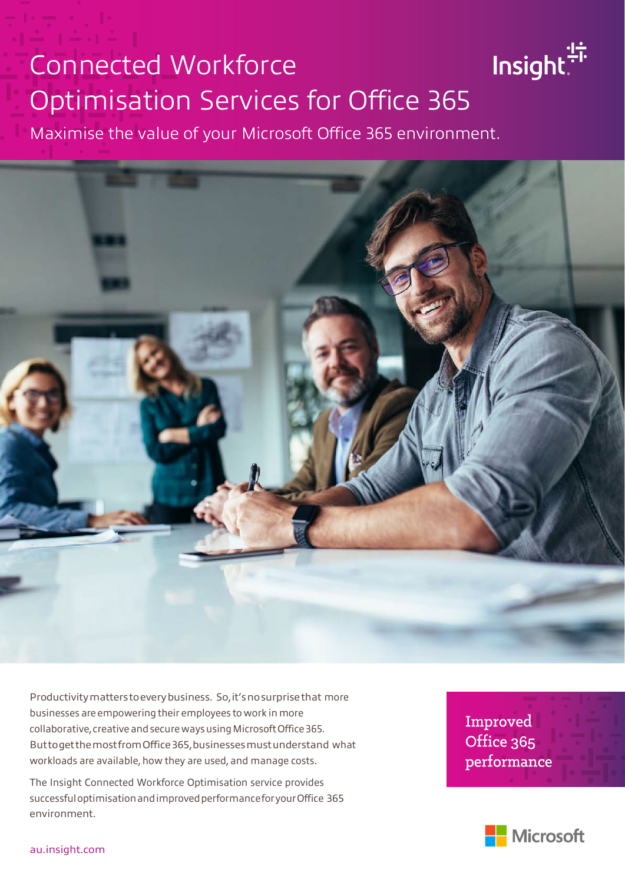# Connected Workforce Optimisation Services for Office 365

Maximise the value of your Microsoft Office 365 environment.



Productivity matters to every business. So, it's no surprise that more businesses are empowering their employees to work in more collaborative, creative and secure ways using Microsoft Office 365. ButtogetthemostfromOffice365,businessesmustunderstand what workloads are available, how they are used, and manage costs.

The Insight Connected Workforce Optimisation service provides successfuloptimisationand improvedperformanceforyourOffice 365 environment.

Improved Office 365 performance



Insight:

au.insight.com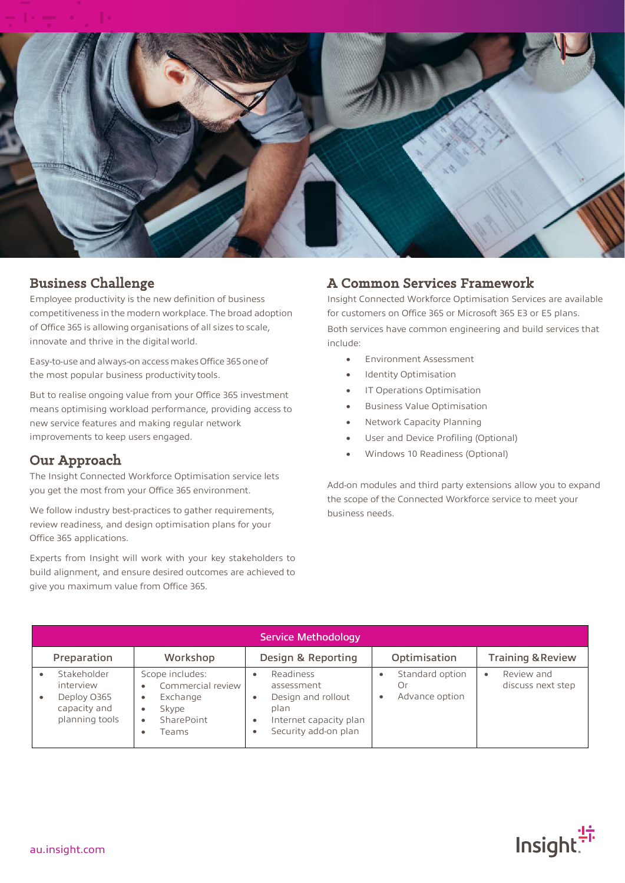

### Business Challenge

Employee productivity is the new definition of business competitiveness in the modern workplace.The broad adoption of Office 365 is allowing organisations of all sizes to scale, innovate and thrive in the digital world.

Easy-to-use and always-on accessmakes Office 365 one of the most popular business productivity tools.

But to realise ongoing value from your Office 365 investment means optimising workload performance, providing access to new service features and making regular network improvements to keep users engaged.

### Our Approach

The Insight Connected Workforce Optimisation service lets you get the most from your Office 365 environment.

We follow industry best-practices to gather requirements, review readiness, and design optimisation plans for your Office 365 applications.

Experts from Insight will work with your key stakeholders to build alignment, and ensure desired outcomes are achieved to give you maximum value from Office 365.

### A Common Services Framework

Insight Connected Workforce Optimisation Services are available for customers on Office 365 or Microsoft 365 E3 or E5 plans. Both services have common engineering and build services that include:

- Environment Assessment
- Identity Optimisation
- IT Operations Optimisation
- Business Value Optimisation
- Network Capacity Planning
- User and Device Profiling (Optional)
- Windows 10 Readiness (Optional)

Add-on modules and third party extensions allow you to expand the scope of the Connected Workforce service to meet your business needs.

| <b>Service Methodology</b> |                                                                           |                                                                                       |                                                                                                              |                                         |                                 |
|----------------------------|---------------------------------------------------------------------------|---------------------------------------------------------------------------------------|--------------------------------------------------------------------------------------------------------------|-----------------------------------------|---------------------------------|
|                            | Preparation                                                               | Workshop                                                                              | Design & Reporting                                                                                           | Optimisation                            | <b>Training &amp; Review</b>    |
|                            | Stakeholder<br>interview<br>Deploy 0365<br>capacity and<br>planning tools | Scope includes:<br>Commercial review<br>Exchange<br>٠<br>Skype<br>SharePoint<br>Teams | Readiness<br>assessment<br>Design and rollout<br>plan<br>Internet capacity plan<br>٠<br>Security add-on plan | Standard option<br>Or<br>Advance option | Review and<br>discuss next step |

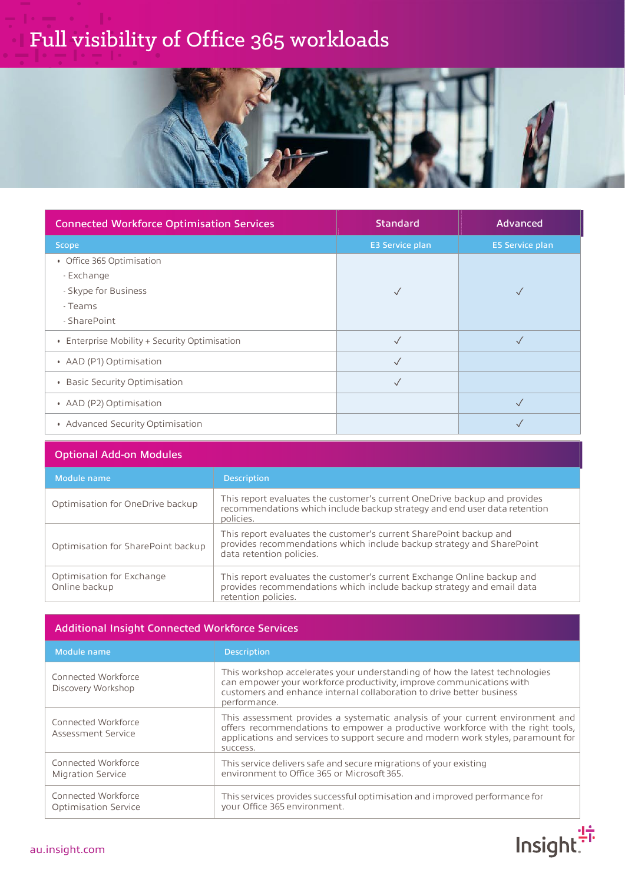## Full visibility of Office 365 workloads



| <b>Connected Workforce Optimisation Services</b> | <b>Standard</b>        | <b>Advanced</b>        |
|--------------------------------------------------|------------------------|------------------------|
| Scope                                            | <b>E3 Service plan</b> | <b>E5 Service plan</b> |
| • Office 365 Optimisation                        |                        |                        |
| - Exchange                                       |                        |                        |
| - Skype for Business                             | $\checkmark$           |                        |
| - Teams                                          |                        |                        |
| - SharePoint                                     |                        |                        |
| • Enterprise Mobility + Security Optimisation    | $\sqrt{}$              |                        |
| • AAD (P1) Optimisation                          | $\checkmark$           |                        |
| • Basic Security Optimisation                    | $\sqrt{}$              |                        |
| • AAD (P2) Optimisation                          |                        | $\sqrt{}$              |
| • Advanced Security Optimisation                 |                        |                        |

#### Optional Add-on Modules

| Module name                                | <b>Description</b>                                                                                                                                                      |
|--------------------------------------------|-------------------------------------------------------------------------------------------------------------------------------------------------------------------------|
| Optimisation for OneDrive backup           | This report evaluates the customer's current OneDrive backup and provides<br>recommendations which include backup strategy and end user data retention<br>policies.     |
| Optimisation for SharePoint backup         | This report evaluates the customer's current SharePoint backup and<br>provides recommendations which include backup strategy and SharePoint<br>data retention policies. |
| Optimisation for Exchange<br>Online backup | This report evaluates the customer's current Exchange Online backup and<br>provides recommendations which include backup strategy and email data<br>retention policies. |

### Additional Insight Connected Workforce Services

| Module name                                     | <b>Description</b>                                                                                                                                                                                                                                                |
|-------------------------------------------------|-------------------------------------------------------------------------------------------------------------------------------------------------------------------------------------------------------------------------------------------------------------------|
| Connected Workforce<br>Discovery Workshop       | This workshop accelerates your understanding of how the latest technologies<br>can empower your workforce productivity, improve communications with<br>customers and enhance internal collaboration to drive better business<br>performance.                      |
| Connected Workforce<br>Assessment Service       | This assessment provides a systematic analysis of your current environment and<br>offers recommendations to empower a productive workforce with the right tools,<br>applications and services to support secure and modern work styles, paramount for<br>success. |
| Connected Workforce<br><b>Migration Service</b> | This service delivers safe and secure migrations of your existing<br>environment to Office 365 or Microsoft 365.                                                                                                                                                  |
| Connected Workforce<br>Optimisation Service     | This services provides successful optimisation and improved performance for<br>your Office 365 environment.                                                                                                                                                       |

lnsight.<sup>45</sup>